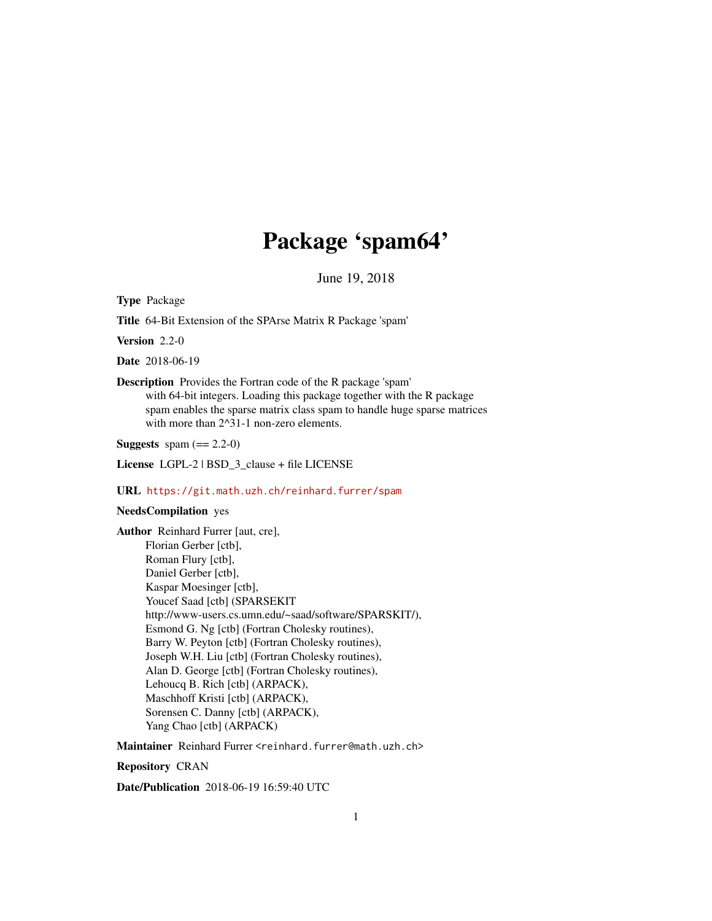## Package 'spam64'

June 19, 2018

Type Package

Title 64-Bit Extension of the SPArse Matrix R Package 'spam'

Version 2.2-0

Date 2018-06-19

Description Provides the Fortran code of the R package 'spam' with 64-bit integers. Loading this package together with the R package spam enables the sparse matrix class spam to handle huge sparse matrices with more than  $2^{\wedge}31$ -1 non-zero elements.

**Suggests** spam  $(== 2.2-0)$ 

License LGPL-2 | BSD\_3\_clause + file LICENSE

#### URL <https://git.math.uzh.ch/reinhard.furrer/spam>

#### NeedsCompilation yes

Author Reinhard Furrer [aut, cre], Florian Gerber [ctb], Roman Flury [ctb], Daniel Gerber [ctb], Kaspar Moesinger [ctb], Youcef Saad [ctb] (SPARSEKIT http://www-users.cs.umn.edu/~saad/software/SPARSKIT/), Esmond G. Ng [ctb] (Fortran Cholesky routines), Barry W. Peyton [ctb] (Fortran Cholesky routines), Joseph W.H. Liu [ctb] (Fortran Cholesky routines), Alan D. George [ctb] (Fortran Cholesky routines), Lehoucq B. Rich [ctb] (ARPACK), Maschhoff Kristi [ctb] (ARPACK), Sorensen C. Danny [ctb] (ARPACK), Yang Chao [ctb] (ARPACK)

Maintainer Reinhard Furrer <reinhard.furrer@math.uzh.ch>

Repository CRAN

Date/Publication 2018-06-19 16:59:40 UTC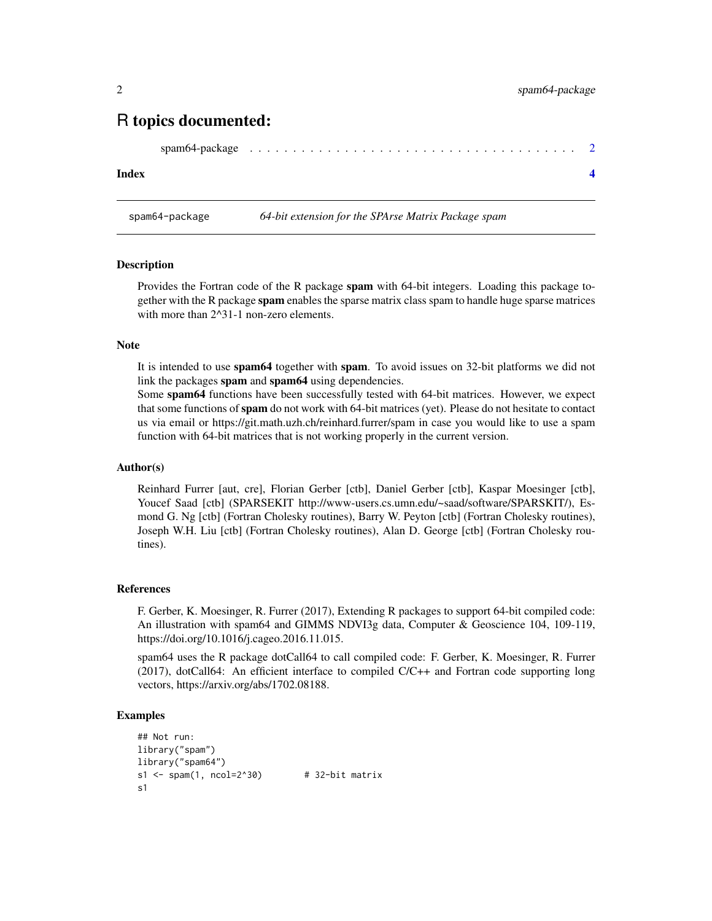### <span id="page-1-0"></span>R topics documented:

```
spam64-package . . . . . . . . . . . . . . . . . . . . . . . . . . . . . . . . . . . . . . 2
```
#### **Index** [4](#page-3-0)

spam64-package *64-bit extension for the SPArse Matrix Package spam*

#### **Description**

Provides the Fortran code of the R package spam with 64-bit integers. Loading this package together with the R package spam enables the sparse matrix class spam to handle huge sparse matrices with more than  $2^{\wedge}31$ -1 non-zero elements.

#### Note

It is intended to use spam64 together with spam. To avoid issues on 32-bit platforms we did not link the packages spam and spam64 using dependencies.

Some spam64 functions have been successfully tested with 64-bit matrices. However, we expect that some functions of spam do not work with 64-bit matrices (yet). Please do not hesitate to contact us via email or https://git.math.uzh.ch/reinhard.furrer/spam in case you would like to use a spam function with 64-bit matrices that is not working properly in the current version.

#### Author(s)

Reinhard Furrer [aut, cre], Florian Gerber [ctb], Daniel Gerber [ctb], Kaspar Moesinger [ctb], Youcef Saad [ctb] (SPARSEKIT http://www-users.cs.umn.edu/~saad/software/SPARSKIT/), Esmond G. Ng [ctb] (Fortran Cholesky routines), Barry W. Peyton [ctb] (Fortran Cholesky routines), Joseph W.H. Liu [ctb] (Fortran Cholesky routines), Alan D. George [ctb] (Fortran Cholesky routines).

#### References

F. Gerber, K. Moesinger, R. Furrer (2017), Extending R packages to support 64-bit compiled code: An illustration with spam64 and GIMMS NDVI3g data, Computer & Geoscience 104, 109-119, https://doi.org/10.1016/j.cageo.2016.11.015.

spam64 uses the R package dotCall64 to call compiled code: F. Gerber, K. Moesinger, R. Furrer (2017), dotCall64: An efficient interface to compiled C/C++ and Fortran code supporting long vectors, https://arxiv.org/abs/1702.08188.

#### Examples

```
## Not run:
library("spam")
library("spam64")
s1 \leftarrow span(1, ncol=2^30) # 32-bit matrix
s1
```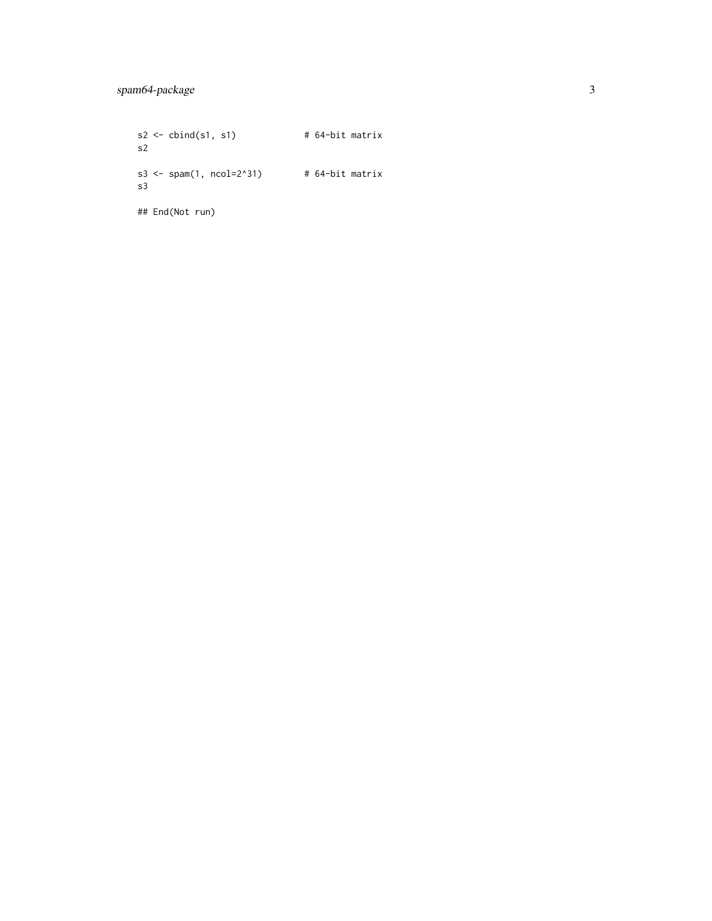$s2 \le - \text{cbind}(s1, s1)$  # 64-bit matrix s2 s3 <- spam $(1, \text{ ncol=2}^3)$  # 64-bit matrix s3

## End(Not run)